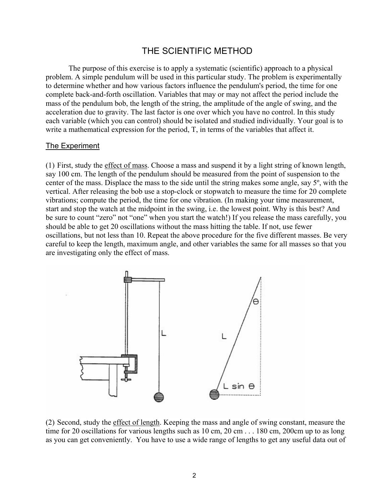## THE SCIENTIFIC METHOD

The purpose of this exercise is to apply a systematic (scientific) approach to a physical problem. A simple pendulum will be used in this particular study. The problem is experimentally to determine whether and how various factors influence the pendulum's period, the time for one complete back-and-forth oscillation. Variables that may or may not affect the period include the mass of the pendulum bob, the length of the string, the amplitude of the angle of swing, and the acceleration due to gravity. The last factor is one over which you have no control. In this study each variable (which you can control) should be isolated and studied individually. Your goal is to write a mathematical expression for the period, T, in terms of the variables that affect it.

## The Experiment

(1) First, study the effect of mass. Choose a mass and suspend it by a light string of known length, say 100 cm. The length of the pendulum should be measured from the point of suspension to the center of the mass. Displace the mass to the side until the string makes some angle, say 5º, with the vertical. After releasing the bob use a stop-clock or stopwatch to measure the time for 20 complete vibrations; compute the period, the time for one vibration. (In making your time measurement, start and stop the watch at the midpoint in the swing, i.e. the lowest point. Why is this best? And be sure to count "zero" not "one" when you start the watch!) If you release the mass carefully, you should be able to get 20 oscillations without the mass hitting the table. If not, use fewer oscillations, but not less than 10. Repeat the above procedure for the five different masses. Be very careful to keep the length, maximum angle, and other variables the same for all masses so that you are investigating only the effect of mass.



(2) Second, study the effect of length. Keeping the mass and angle of swing constant, measure the time for 20 oscillations for various lengths such as 10 cm, 20 cm . . . 180 cm, 200 cm up to as long as you can get conveniently. You have to use a wide range of lengths to get any useful data out of